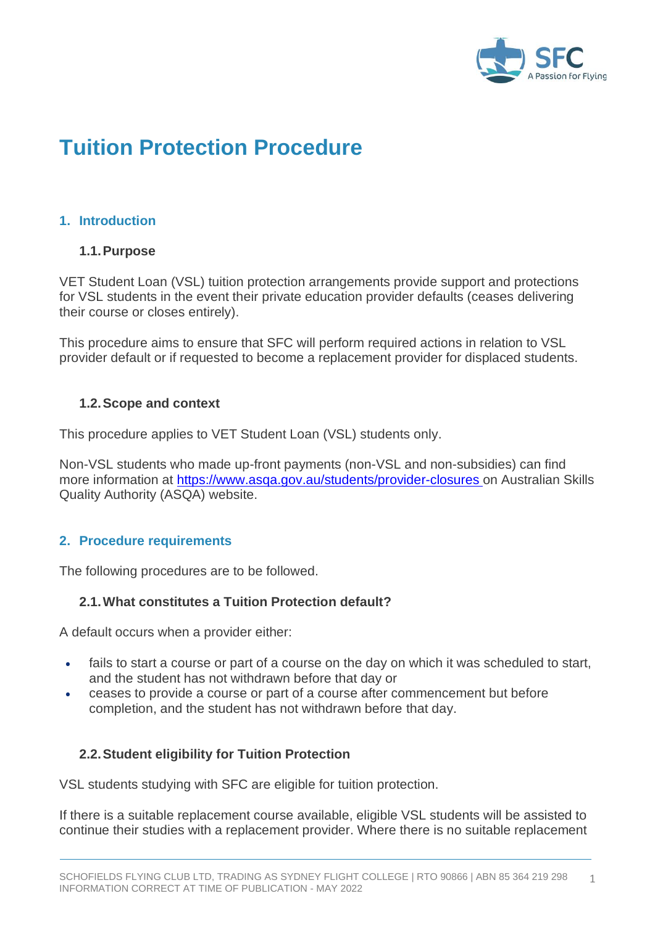

# **Tuition Protection Procedure**

## **1. Introduction**

#### **1.1.Purpose**

VET Student Loan (VSL) tuition protection arrangements provide support and protections for VSL students in the event their private education provider defaults (ceases delivering their course or closes entirely).

This procedure aims to ensure that SFC will perform required actions in relation to VSL provider default or if requested to become a replacement provider for displaced students.

### **1.2.Scope and context**

This procedure applies to VET Student Loan (VSL) students only.

Non-VSL students who made up-front payments (non-VSL and non-subsidies) can find more information at [https://www.asqa.gov.au/students/provider-closures o](https://www.asqa.gov.au/students/provider-closures)n Australian Skills Quality Authority (ASQA) website.

## **2. Procedure requirements**

The following procedures are to be followed.

#### **2.1.What constitutes a Tuition Protection default?**

A default occurs when a provider either:

- fails to start a course or part of a course on the day on which it was scheduled to start, and the student has not withdrawn before that day or
- ceases to provide a course or part of a course after commencement but before completion, and the student has not withdrawn before that day.

## **2.2.Student eligibility for Tuition Protection**

VSL students studying with SFC are eligible for tuition protection.

If there is a suitable replacement course available, eligible VSL students will be assisted to continue their studies with a replacement provider. Where there is no suitable replacement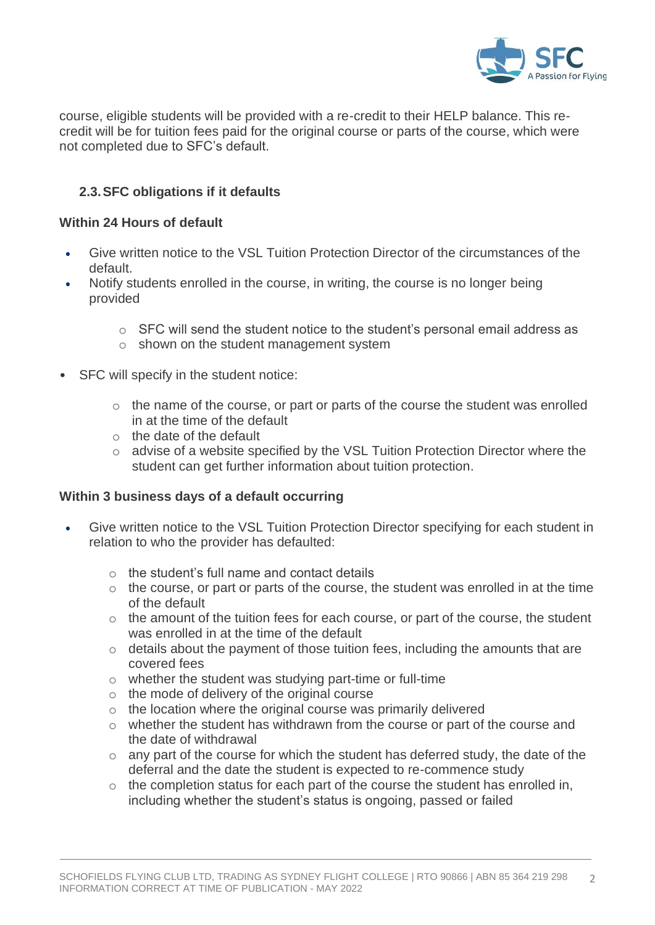

course, eligible students will be provided with a re-credit to their HELP balance. This recredit will be for tuition fees paid for the original course or parts of the course, which were not completed due to SFC's default.

## **2.3.SFC obligations if it defaults**

#### **Within 24 Hours of default**

- Give written notice to the VSL Tuition Protection Director of the circumstances of the default.
- Notify students enrolled in the course, in writing, the course is no longer being provided
	- $\circ$  SFC will send the student notice to the student's personal email address as
	- o shown on the student management system
- SFC will specify in the student notice:
	- o the name of the course, or part or parts of the course the student was enrolled in at the time of the default
	- o the date of the default
	- o advise of a website specified by the VSL Tuition Protection Director where the student can get further information about tuition protection.

#### **Within 3 business days of a default occurring**

- Give written notice to the VSL Tuition Protection Director specifying for each student in relation to who the provider has defaulted:
	- $\circ$  the student's full name and contact details
	- $\circ$  the course, or part or parts of the course, the student was enrolled in at the time of the default
	- o the amount of the tuition fees for each course, or part of the course, the student was enrolled in at the time of the default
	- $\circ$  details about the payment of those tuition fees, including the amounts that are covered fees
	- o whether the student was studying part-time or full-time
	- o the mode of delivery of the original course
	- o the location where the original course was primarily delivered
	- o whether the student has withdrawn from the course or part of the course and the date of withdrawal
	- $\circ$  any part of the course for which the student has deferred study, the date of the deferral and the date the student is expected to re-commence study
	- $\circ$  the completion status for each part of the course the student has enrolled in, including whether the student's status is ongoing, passed or failed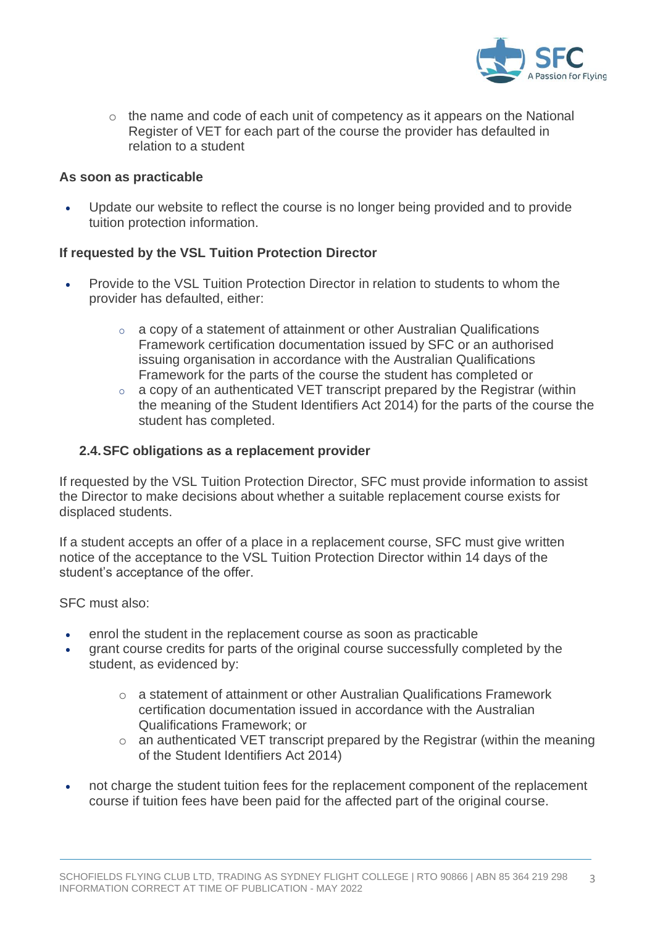

o the name and code of each unit of competency as it appears on the National Register of VET for each part of the course the provider has defaulted in relation to a student

#### **As soon as practicable**

• Update our website to reflect the course is no longer being provided and to provide tuition protection information.

## **If requested by the VSL Tuition Protection Director**

- Provide to the VSL Tuition Protection Director in relation to students to whom the provider has defaulted, either:
	- o a copy of a statement of attainment or other Australian Qualifications Framework certification documentation issued by SFC or an authorised issuing organisation in accordance with the Australian Qualifications Framework for the parts of the course the student has completed or
	- o a copy of an authenticated VET transcript prepared by the Registrar (within the meaning of the Student Identifiers Act 2014) for the parts of the course the student has completed.

### **2.4.SFC obligations as a replacement provider**

If requested by the VSL Tuition Protection Director, SFC must provide information to assist the Director to make decisions about whether a suitable replacement course exists for displaced students.

If a student accepts an offer of a place in a replacement course, SFC must give written notice of the acceptance to the VSL Tuition Protection Director within 14 days of the student's acceptance of the offer.

SFC must also:

- enrol the student in the replacement course as soon as practicable
- grant course credits for parts of the original course successfully completed by the student, as evidenced by:
	- o a statement of attainment or other Australian Qualifications Framework certification documentation issued in accordance with the Australian Qualifications Framework; or
	- o an authenticated VET transcript prepared by the Registrar (within the meaning of the Student Identifiers Act 2014)
- not charge the student tuition fees for the replacement component of the replacement course if tuition fees have been paid for the affected part of the original course.